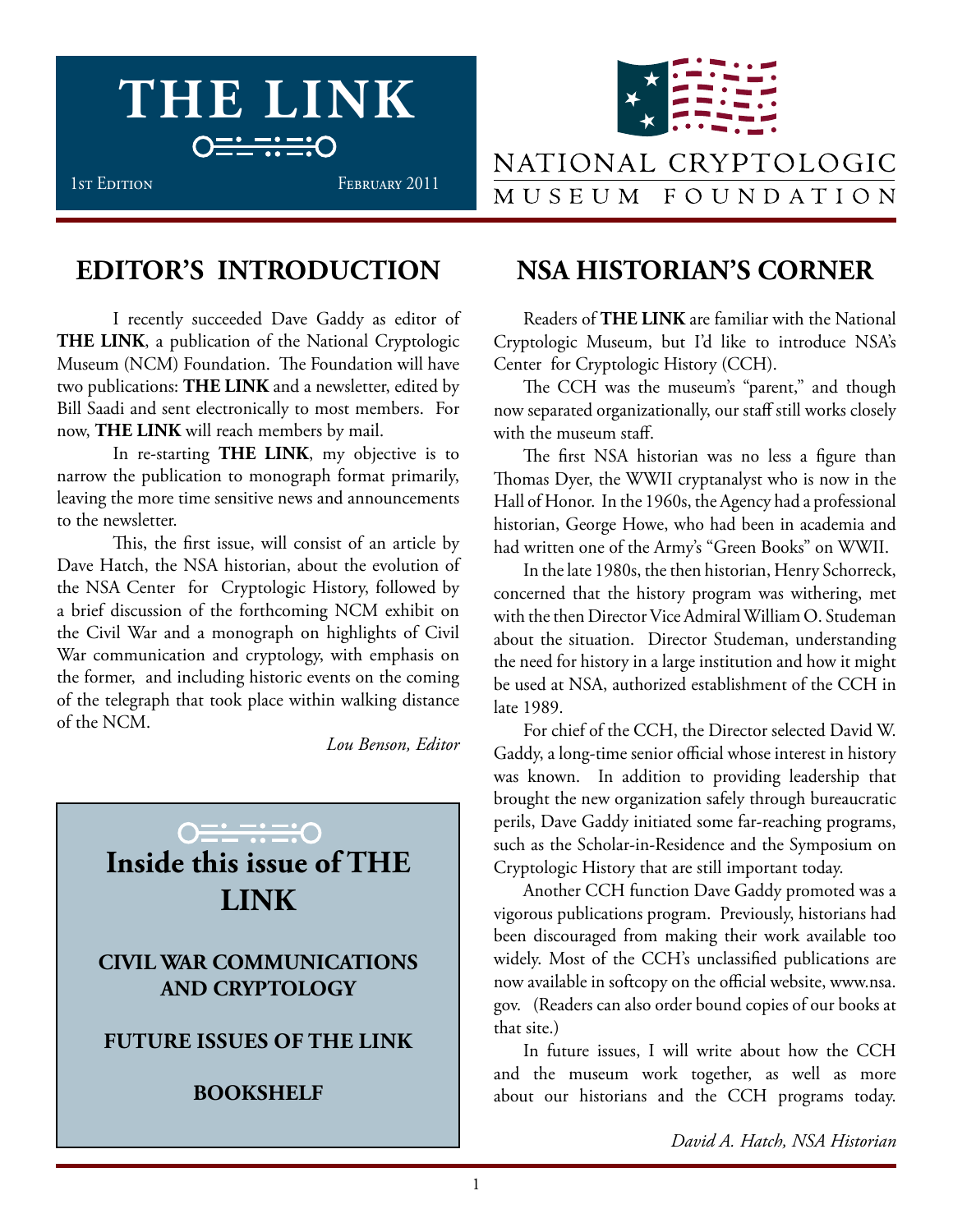



## NATIONAL CRYPTOLOGIC MUSEUM FOUNDATION

# **EDITOR'S INTRODUCTION**

I recently succeeded Dave Gaddy as editor of **THE LINK**, a publication of the National Cryptologic Museum (NCM) Foundation. The Foundation will have two publications: **THE LINK** and a newsletter, edited by Bill Saadi and sent electronically to most members. For now, **THE LINK** will reach members by mail.

In re-starting **THE LINK**, my objective is to narrow the publication to monograph format primarily, leaving the more time sensitive news and announcements to the newsletter.

This, the first issue, will consist of an article by Dave Hatch, the NSA historian, about the evolution of the NSA Center for Cryptologic History, followed by a brief discussion of the forthcoming NCM exhibit on the Civil War and a monograph on highlights of Civil War communication and cryptology, with emphasis on the former, and including historic events on the coming of the telegraph that took place within walking distance of the NCM.

*Lou Benson, Editor*

# **Inside this issue of THE LINK CIVIL WAR COMMUNICATIONS AND CRYPTOLOGY Future Issues of THE LINK BOOKSHELF**

## **NSA HISTORIAN'S CORNER**

Readers of **THE LINK** are familiar with the National Cryptologic Museum, but I'd like to introduce NSA's Center for Cryptologic History (CCH).

The CCH was the museum's "parent," and though now separated organizationally, our staff still works closely with the museum staff.

The first NSA historian was no less a figure than Thomas Dyer, the WWII cryptanalyst who is now in the Hall of Honor. In the 1960s, the Agency had a professional historian, George Howe, who had been in academia and had written one of the Army's "Green Books" on WWII.

In the late 1980s, the then historian, Henry Schorreck, concerned that the history program was withering, met with the then Director Vice Admiral William O. Studeman about the situation. Director Studeman, understanding the need for history in a large institution and how it might be used at NSA, authorized establishment of the CCH in late 1989.

For chief of the CCH, the Director selected David W. Gaddy, a long-time senior official whose interest in history was known. In addition to providing leadership that brought the new organization safely through bureaucratic perils, Dave Gaddy initiated some far-reaching programs, such as the Scholar-in-Residence and the Symposium on Cryptologic History that are still important today.

Another CCH function Dave Gaddy promoted was a vigorous publications program. Previously, historians had been discouraged from making their work available too widely. Most of the CCH's unclassified publications are now available in softcopy on the official website, www.nsa. gov. (Readers can also order bound copies of our books at that site.)

In future issues, I will write about how the CCH and the museum work together, as well as more about our historians and the CCH programs today.

*David A. Hatch, NSA Historian*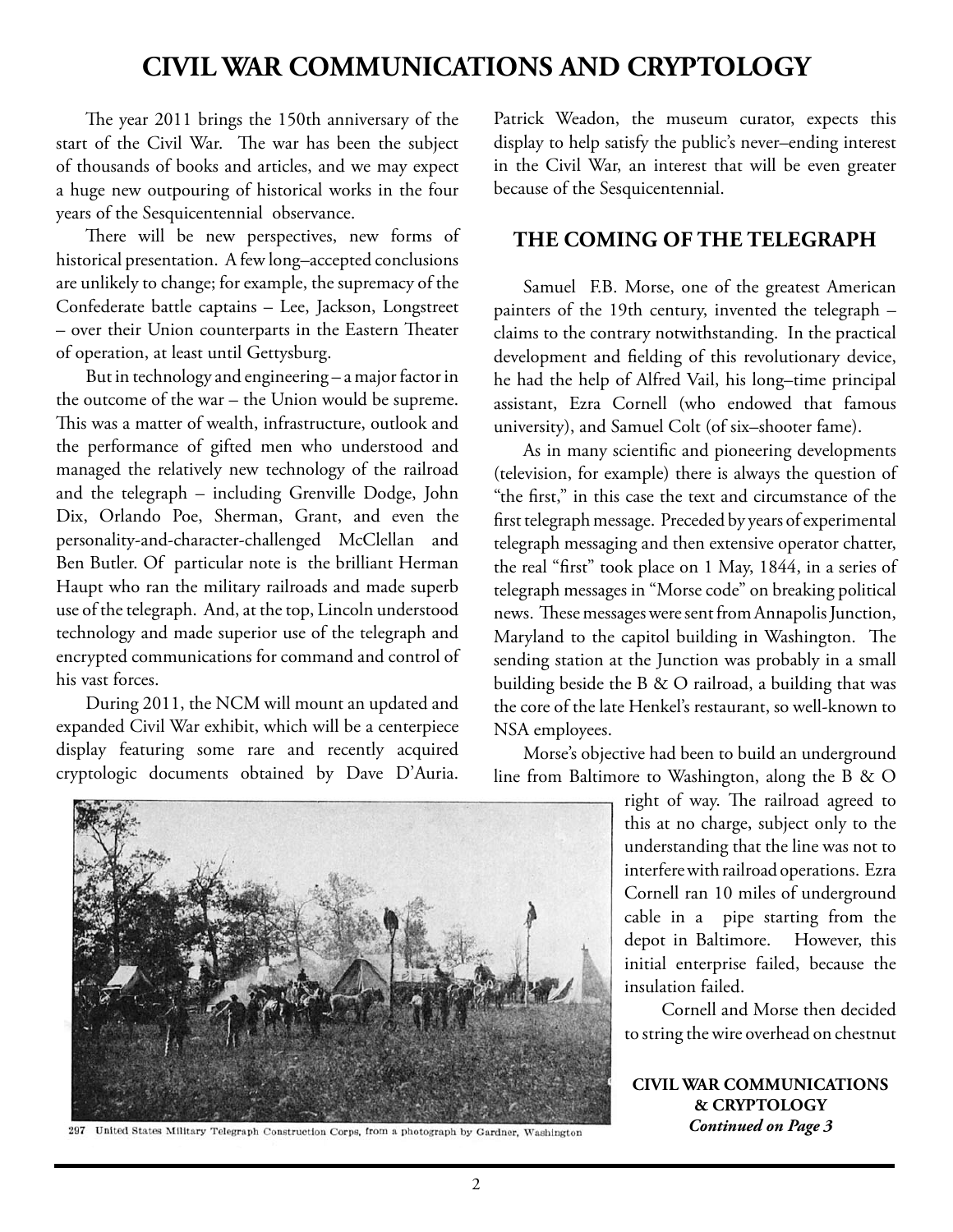## **CIVIL WAR COMMUNICATIONS AND CRYPTOLOGY**

The year 2011 brings the 150th anniversary of the start of the Civil War. The war has been the subject of thousands of books and articles, and we may expect a huge new outpouring of historical works in the four years of the Sesquicentennial observance.

There will be new perspectives, new forms of historical presentation. A few long–accepted conclusions are unlikely to change; for example, the supremacy of the Confederate battle captains – Lee, Jackson, Longstreet – over their Union counterparts in the Eastern Theater of operation, at least until Gettysburg.

But in technology and engineering – a major factor in the outcome of the war – the Union would be supreme. This was a matter of wealth, infrastructure, outlook and the performance of gifted men who understood and managed the relatively new technology of the railroad and the telegraph – including Grenville Dodge, John Dix, Orlando Poe, Sherman, Grant, and even the personality-and-character-challenged McClellan and Ben Butler. Of particular note is the brilliant Herman Haupt who ran the military railroads and made superb use of the telegraph. And, at the top, Lincoln understood technology and made superior use of the telegraph and encrypted communications for command and control of his vast forces.

During 2011, the NCM will mount an updated and expanded Civil War exhibit, which will be a centerpiece display featuring some rare and recently acquired cryptologic documents obtained by Dave D'Auria.

Patrick Weadon, the museum curator, expects this display to help satisfy the public's never–ending interest in the Civil War, an interest that will be even greater because of the Sesquicentennial.

### **The Coming of the Telegraph**

Samuel F.B. Morse, one of the greatest American painters of the 19th century, invented the telegraph – claims to the contrary notwithstanding. In the practical development and fielding of this revolutionary device, he had the help of Alfred Vail, his long–time principal assistant, Ezra Cornell (who endowed that famous university), and Samuel Colt (of six–shooter fame).

As in many scientific and pioneering developments (television, for example) there is always the question of "the first," in this case the text and circumstance of the first telegraph message. Preceded by years of experimental telegraph messaging and then extensive operator chatter, the real "first" took place on 1 May, 1844, in a series of telegraph messages in "Morse code" on breaking political news. These messages were sent from Annapolis Junction, Maryland to the capitol building in Washington. The sending station at the Junction was probably in a small building beside the B & O railroad, a building that was the core of the late Henkel's restaurant, so well-known to NSA employees.

Morse's objective had been to build an underground line from Baltimore to Washington, along the B & O

> right of way. The railroad agreed to this at no charge, subject only to the understanding that the line was not to interfere with railroad operations. Ezra Cornell ran 10 miles of underground cable in a pipe starting from the depot in Baltimore. However, this initial enterprise failed, because the insulation failed.

> Cornell and Morse then decided to string the wire overhead on chestnut

**Civil War Communications & Cryptology** *Continued on Page 3*



297 United States Military Telegraph Construction Corps, from a photograph by Gardner, Washington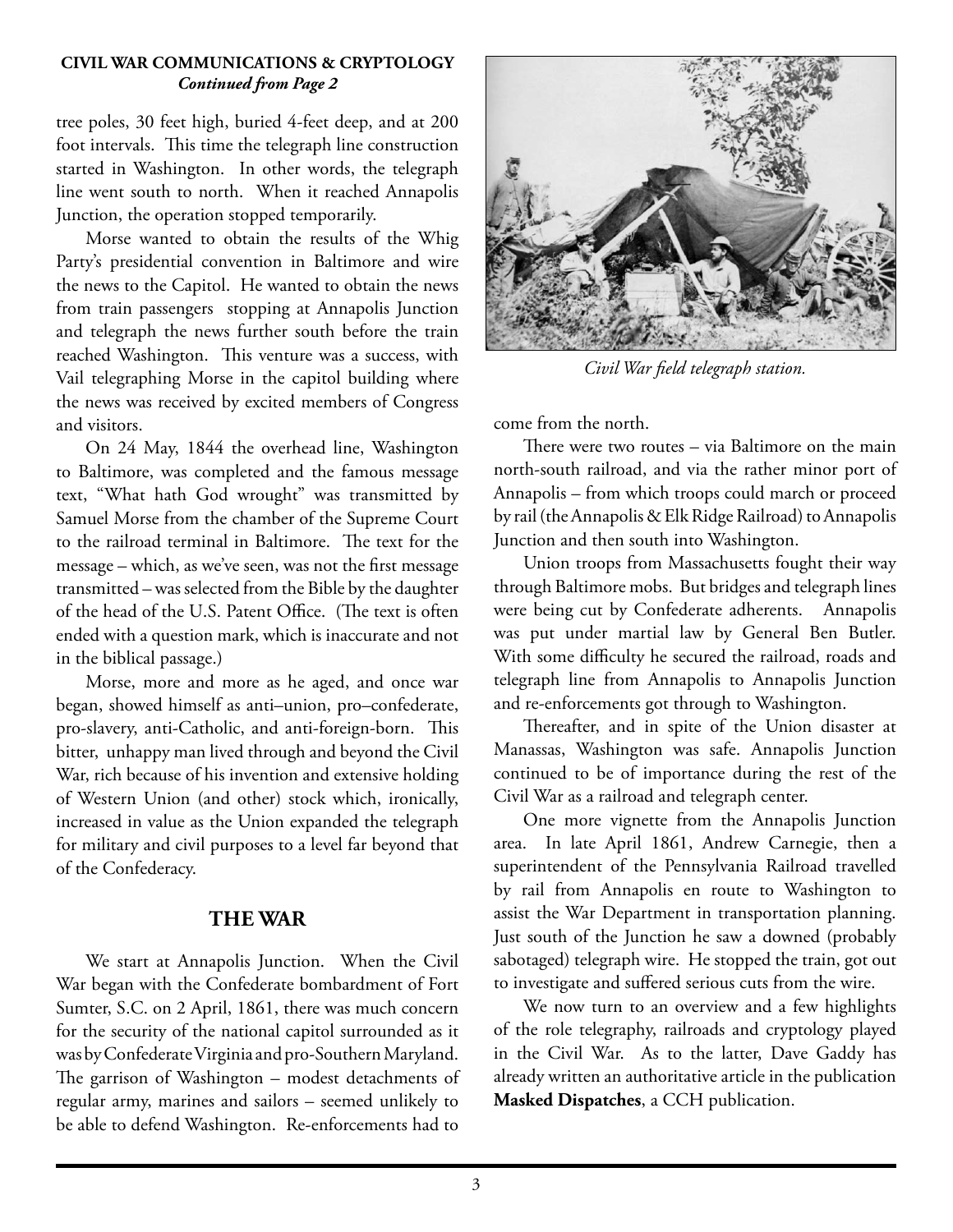#### **Civil War Communications & Cryptology** *Continued from Page 2*

tree poles, 30 feet high, buried 4-feet deep, and at 200 foot intervals. This time the telegraph line construction started in Washington. In other words, the telegraph line went south to north. When it reached Annapolis Junction, the operation stopped temporarily.

Morse wanted to obtain the results of the Whig Party's presidential convention in Baltimore and wire the news to the Capitol. He wanted to obtain the news from train passengers stopping at Annapolis Junction and telegraph the news further south before the train reached Washington. This venture was a success, with Vail telegraphing Morse in the capitol building where the news was received by excited members of Congress and visitors.

On 24 May, 1844 the overhead line, Washington to Baltimore, was completed and the famous message text, "What hath God wrought" was transmitted by Samuel Morse from the chamber of the Supreme Court to the railroad terminal in Baltimore. The text for the message – which, as we've seen, was not the first message transmitted – was selected from the Bible by the daughter of the head of the U.S. Patent Office. (The text is often ended with a question mark, which is inaccurate and not in the biblical passage.)

Morse, more and more as he aged, and once war began, showed himself as anti–union, pro–confederate, pro-slavery, anti-Catholic, and anti-foreign-born. This bitter, unhappy man lived through and beyond the Civil War, rich because of his invention and extensive holding of Western Union (and other) stock which, ironically, increased in value as the Union expanded the telegraph for military and civil purposes to a level far beyond that of the Confederacy.

### **The War**

We start at Annapolis Junction. When the Civil War began with the Confederate bombardment of Fort Sumter, S.C. on 2 April, 1861, there was much concern for the security of the national capitol surrounded as it was by Confederate Virginia and pro-Southern Maryland. The garrison of Washington – modest detachments of regular army, marines and sailors – seemed unlikely to be able to defend Washington. Re-enforcements had to



*Civil War field telegraph station.*

come from the north.

There were two routes – via Baltimore on the main north-south railroad, and via the rather minor port of Annapolis – from which troops could march or proceed by rail (the Annapolis & Elk Ridge Railroad) to Annapolis Junction and then south into Washington.

Union troops from Massachusetts fought their way through Baltimore mobs. But bridges and telegraph lines were being cut by Confederate adherents. Annapolis was put under martial law by General Ben Butler. With some difficulty he secured the railroad, roads and telegraph line from Annapolis to Annapolis Junction and re-enforcements got through to Washington.

Thereafter, and in spite of the Union disaster at Manassas, Washington was safe. Annapolis Junction continued to be of importance during the rest of the Civil War as a railroad and telegraph center.

One more vignette from the Annapolis Junction area. In late April 1861, Andrew Carnegie, then a superintendent of the Pennsylvania Railroad travelled by rail from Annapolis en route to Washington to assist the War Department in transportation planning. Just south of the Junction he saw a downed (probably sabotaged) telegraph wire. He stopped the train, got out to investigate and suffered serious cuts from the wire.

We now turn to an overview and a few highlights of the role telegraphy, railroads and cryptology played in the Civil War. As to the latter, Dave Gaddy has already written an authoritative article in the publication **Masked Dispatches**, a CCH publication.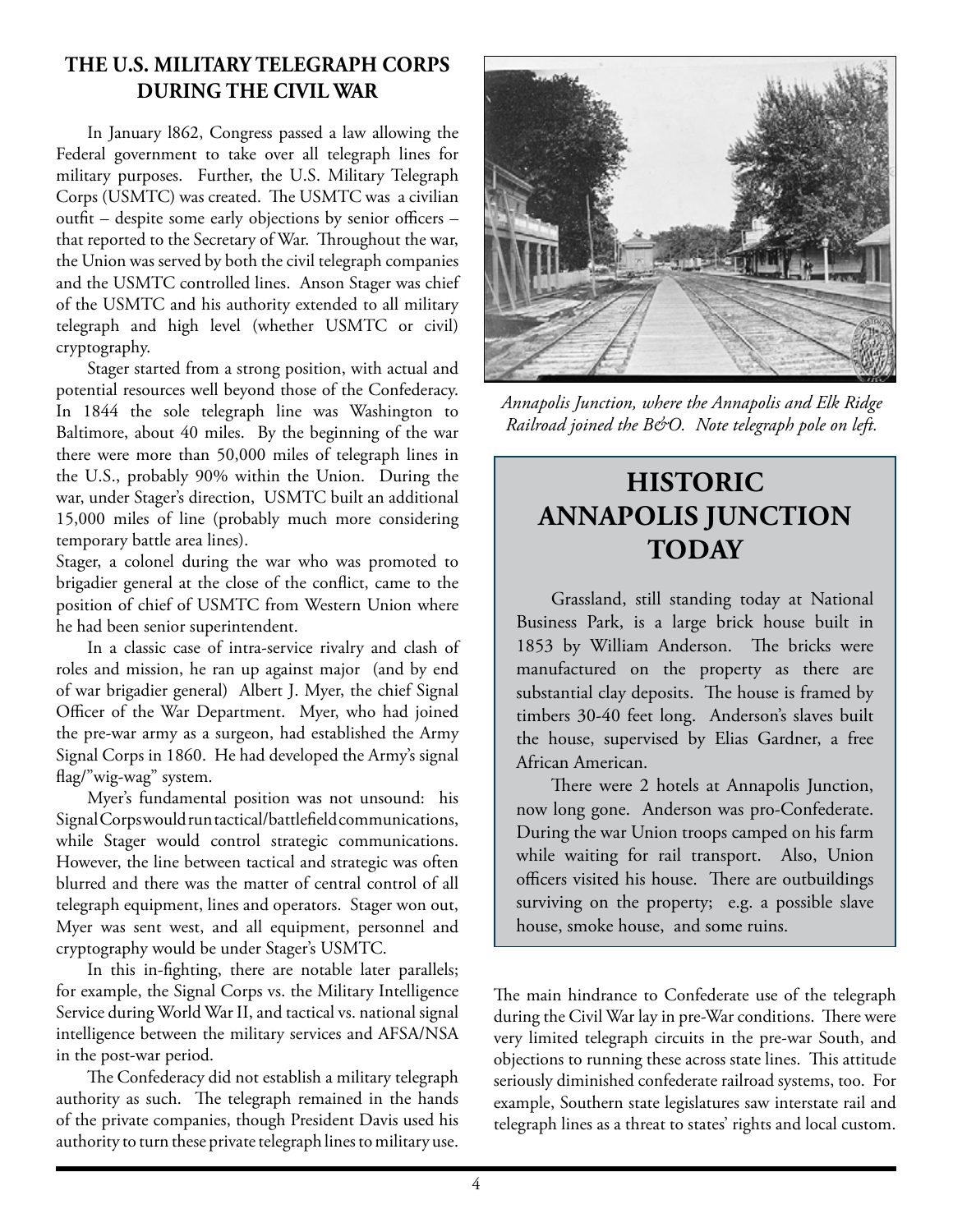### **The U.S. Military Telegraph corps During the Civil War**

In January l862, Congress passed a law allowing the Federal government to take over all telegraph lines for military purposes. Further, the U.S. Military Telegraph Corps (USMTC) was created. The USMTC was a civilian outfit – despite some early objections by senior officers – that reported to the Secretary of War. Throughout the war, the Union was served by both the civil telegraph companies and the USMTC controlled lines. Anson Stager was chief of the USMTC and his authority extended to all military telegraph and high level (whether USMTC or civil) cryptography.

Stager started from a strong position, with actual and potential resources well beyond those of the Confederacy. In 1844 the sole telegraph line was Washington to Baltimore, about 40 miles. By the beginning of the war there were more than 50,000 miles of telegraph lines in the U.S., probably 90% within the Union. During the war, under Stager's direction, USMTC built an additional 15,000 miles of line (probably much more considering temporary battle area lines).

Stager, a colonel during the war who was promoted to brigadier general at the close of the conflict, came to the position of chief of USMTC from Western Union where he had been senior superintendent.

In a classic case of intra-service rivalry and clash of roles and mission, he ran up against major (and by end of war brigadier general) Albert J. Myer, the chief Signal Officer of the War Department. Myer, who had joined the pre-war army as a surgeon, had established the Army Signal Corps in 1860. He had developed the Army's signal flag/"wig-wag" system.

Myer's fundamental position was not unsound: his Signal Corps would run tactical/battlefield communications, while Stager would control strategic communications. However, the line between tactical and strategic was often blurred and there was the matter of central control of all telegraph equipment, lines and operators. Stager won out, Myer was sent west, and all equipment, personnel and cryptography would be under Stager's USMTC.

In this in-fighting, there are notable later parallels; for example, the Signal Corps vs. the Military Intelligence Service during World War II, and tactical vs. national signal intelligence between the military services and AFSA/NSA in the post-war period.

The Confederacy did not establish a military telegraph authority as such. The telegraph remained in the hands of the private companies, though President Davis used his authority to turn these private telegraph lines to military use.



*Annapolis Junction, where the Annapolis and Elk Ridge Railroad joined the B&O. Note telegraph pole on left.*

# **Historic Annapolis Junction TODAY**

Grassland, still standing today at National Business Park, is a large brick house built in 1853 by William Anderson. The bricks were manufactured on the property as there are substantial clay deposits. The house is framed by timbers 30-40 feet long. Anderson's slaves built the house, supervised by Elias Gardner, a free African American.

There were 2 hotels at Annapolis Junction, now long gone. Anderson was pro-Confederate. During the war Union troops camped on his farm while waiting for rail transport. Also, Union officers visited his house. There are outbuildings surviving on the property; e.g. a possible slave house, smoke house, and some ruins.

The main hindrance to Confederate use of the telegraph during the Civil War lay in pre-War conditions. There were very limited telegraph circuits in the pre-war South, and objections to running these across state lines. This attitude seriously diminished confederate railroad systems, too. For example, Southern state legislatures saw interstate rail and telegraph lines as a threat to states' rights and local custom.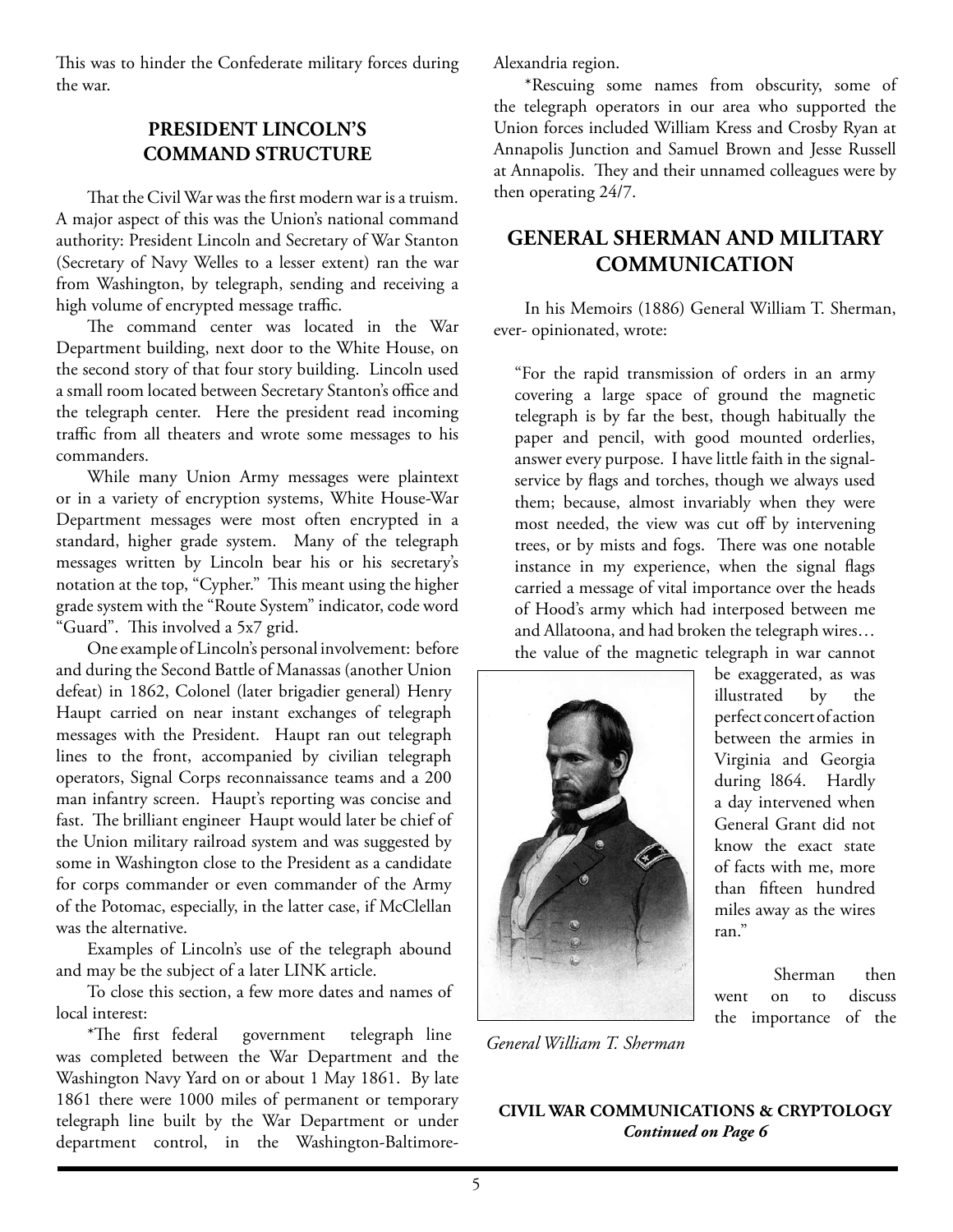This was to hinder the Confederate military forces during the war.

### **President Lincoln's Command Structure**

That the Civil War was the first modern war is a truism. A major aspect of this was the Union's national command authority: President Lincoln and Secretary of War Stanton (Secretary of Navy Welles to a lesser extent) ran the war from Washington, by telegraph, sending and receiving a high volume of encrypted message traffic.

The command center was located in the War Department building, next door to the White House, on the second story of that four story building. Lincoln used a small room located between Secretary Stanton's office and the telegraph center. Here the president read incoming traffic from all theaters and wrote some messages to his commanders.

While many Union Army messages were plaintext or in a variety of encryption systems, White House-War Department messages were most often encrypted in a standard, higher grade system. Many of the telegraph messages written by Lincoln bear his or his secretary's notation at the top, "Cypher." This meant using the higher grade system with the "Route System" indicator, code word "Guard". This involved a 5x7 grid.

One example of Lincoln's personal involvement: before and during the Second Battle of Manassas (another Union defeat) in 1862, Colonel (later brigadier general) Henry Haupt carried on near instant exchanges of telegraph messages with the President. Haupt ran out telegraph lines to the front, accompanied by civilian telegraph operators, Signal Corps reconnaissance teams and a 200 man infantry screen. Haupt's reporting was concise and fast. The brilliant engineer Haupt would later be chief of the Union military railroad system and was suggested by some in Washington close to the President as a candidate for corps commander or even commander of the Army of the Potomac, especially, in the latter case, if McClellan was the alternative.

Examples of Lincoln's use of the telegraph abound and may be the subject of a later LINK article.

To close this section, a few more dates and names of local interest:

\*The first federal government telegraph line was completed between the War Department and the Washington Navy Yard on or about 1 May 1861. By late 1861 there were 1000 miles of permanent or temporary telegraph line built by the War Department or under department control, in the Washington-BaltimoreAlexandria region.

\*Rescuing some names from obscurity, some of the telegraph operators in our area who supported the Union forces included William Kress and Crosby Ryan at Annapolis Junction and Samuel Brown and Jesse Russell at Annapolis. They and their unnamed colleagues were by then operating 24/7.

### **General Sherman and Military Communication**

In his Memoirs (1886) General William T. Sherman, ever- opinionated, wrote:

"For the rapid transmission of orders in an army covering a large space of ground the magnetic telegraph is by far the best, though habitually the paper and pencil, with good mounted orderlies, answer every purpose. I have little faith in the signalservice by flags and torches, though we always used them; because, almost invariably when they were most needed, the view was cut off by intervening trees, or by mists and fogs. There was one notable instance in my experience, when the signal flags carried a message of vital importance over the heads of Hood's army which had interposed between me and Allatoona, and had broken the telegraph wires… the value of the magnetic telegraph in war cannot



*General William T. Sherman*

be exaggerated, as was illustrated by the perfect concert of action between the armies in Virginia and Georgia during l864. Hardly a day intervened when General Grant did not know the exact state of facts with me, more than fifteen hundred miles away as the wires ran."

Sherman then went on to discuss the importance of the

### **Civil War CommunicationS & Cryptology** *Continued on Page 6*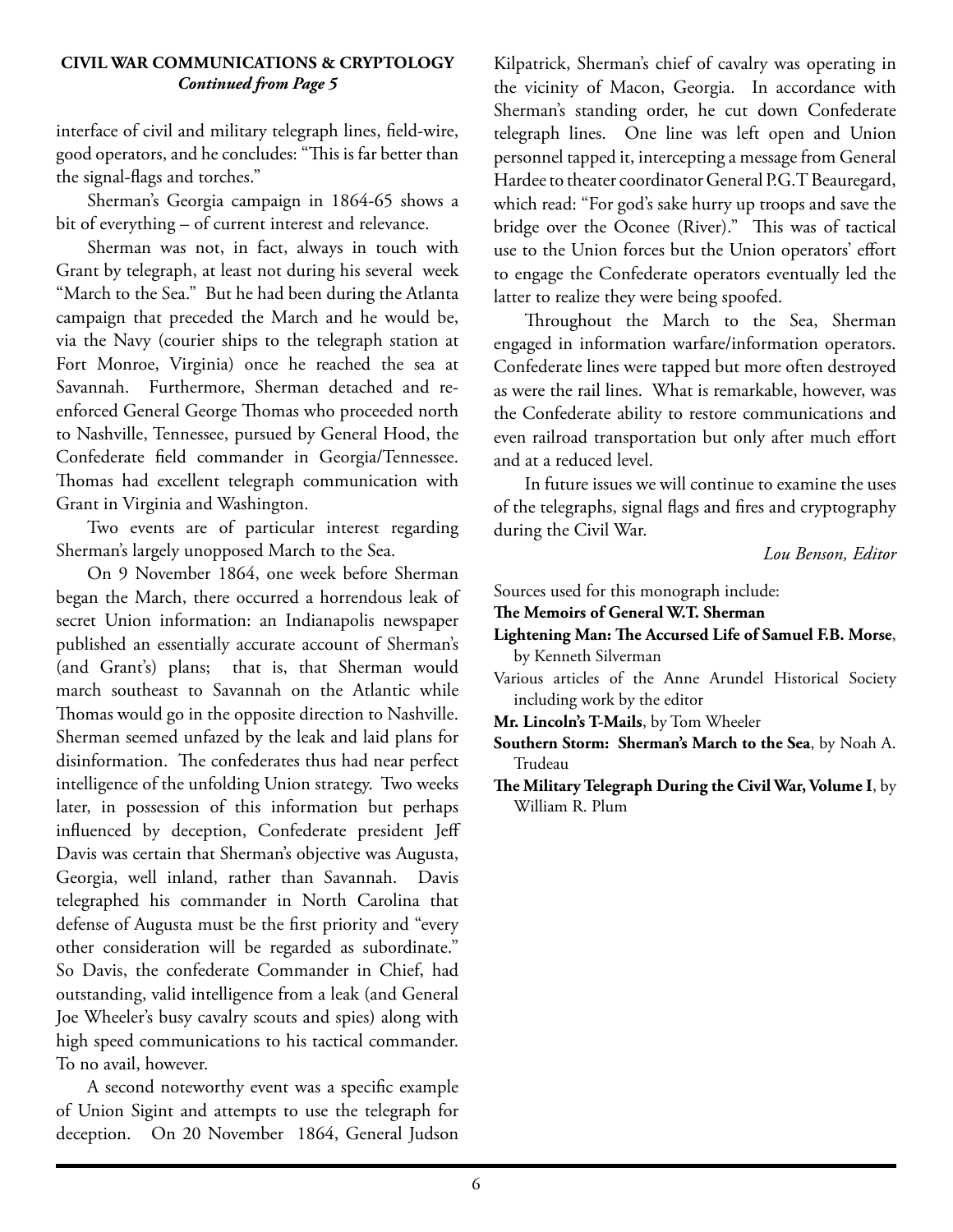#### **Civil War CommunicationS & Cryptology** *Continued from Page 5*

interface of civil and military telegraph lines, field-wire, good operators, and he concludes: "This is far better than the signal-flags and torches."

Sherman's Georgia campaign in 1864-65 shows a bit of everything – of current interest and relevance.

Sherman was not, in fact, always in touch with Grant by telegraph, at least not during his several week "March to the Sea." But he had been during the Atlanta campaign that preceded the March and he would be, via the Navy (courier ships to the telegraph station at Fort Monroe, Virginia) once he reached the sea at Savannah. Furthermore, Sherman detached and reenforced General George Thomas who proceeded north to Nashville, Tennessee, pursued by General Hood, the Confederate field commander in Georgia/Tennessee. Thomas had excellent telegraph communication with Grant in Virginia and Washington.

Two events are of particular interest regarding Sherman's largely unopposed March to the Sea.

On 9 November 1864, one week before Sherman began the March, there occurred a horrendous leak of secret Union information: an Indianapolis newspaper published an essentially accurate account of Sherman's (and Grant's) plans; that is, that Sherman would march southeast to Savannah on the Atlantic while Thomas would go in the opposite direction to Nashville. Sherman seemed unfazed by the leak and laid plans for disinformation. The confederates thus had near perfect intelligence of the unfolding Union strategy. Two weeks later, in possession of this information but perhaps influenced by deception, Confederate president Jeff Davis was certain that Sherman's objective was Augusta, Georgia, well inland, rather than Savannah. Davis telegraphed his commander in North Carolina that defense of Augusta must be the first priority and "every other consideration will be regarded as subordinate." So Davis, the confederate Commander in Chief, had outstanding, valid intelligence from a leak (and General Joe Wheeler's busy cavalry scouts and spies) along with high speed communications to his tactical commander. To no avail, however.

A second noteworthy event was a specific example of Union Sigint and attempts to use the telegraph for deception. On 20 November 1864, General Judson

Kilpatrick, Sherman's chief of cavalry was operating in the vicinity of Macon, Georgia. In accordance with Sherman's standing order, he cut down Confederate telegraph lines. One line was left open and Union personnel tapped it, intercepting a message from General Hardee to theater coordinator General P.G.T Beauregard, which read: "For god's sake hurry up troops and save the bridge over the Oconee (River)." This was of tactical use to the Union forces but the Union operators' effort to engage the Confederate operators eventually led the latter to realize they were being spoofed.

Throughout the March to the Sea, Sherman engaged in information warfare/information operators. Confederate lines were tapped but more often destroyed as were the rail lines. What is remarkable, however, was the Confederate ability to restore communications and even railroad transportation but only after much effort and at a reduced level.

In future issues we will continue to examine the uses of the telegraphs, signal flags and fires and cryptography during the Civil War.

*Lou Benson, Editor*

Sources used for this monograph include:

- **The Memoirs of General W.T. Sherman**
- **Lightening Man: The Accursed Life of Samuel F.B. Morse**, by Kenneth Silverman
- Various articles of the Anne Arundel Historical Society including work by the editor
- **Mr. Lincoln's T-Mails**, by Tom Wheeler
- **Southern Storm: Sherman's March to the Sea**, by Noah A. Trudeau
- **The Military Telegraph During the Civil War, Volume I**, by William R. Plum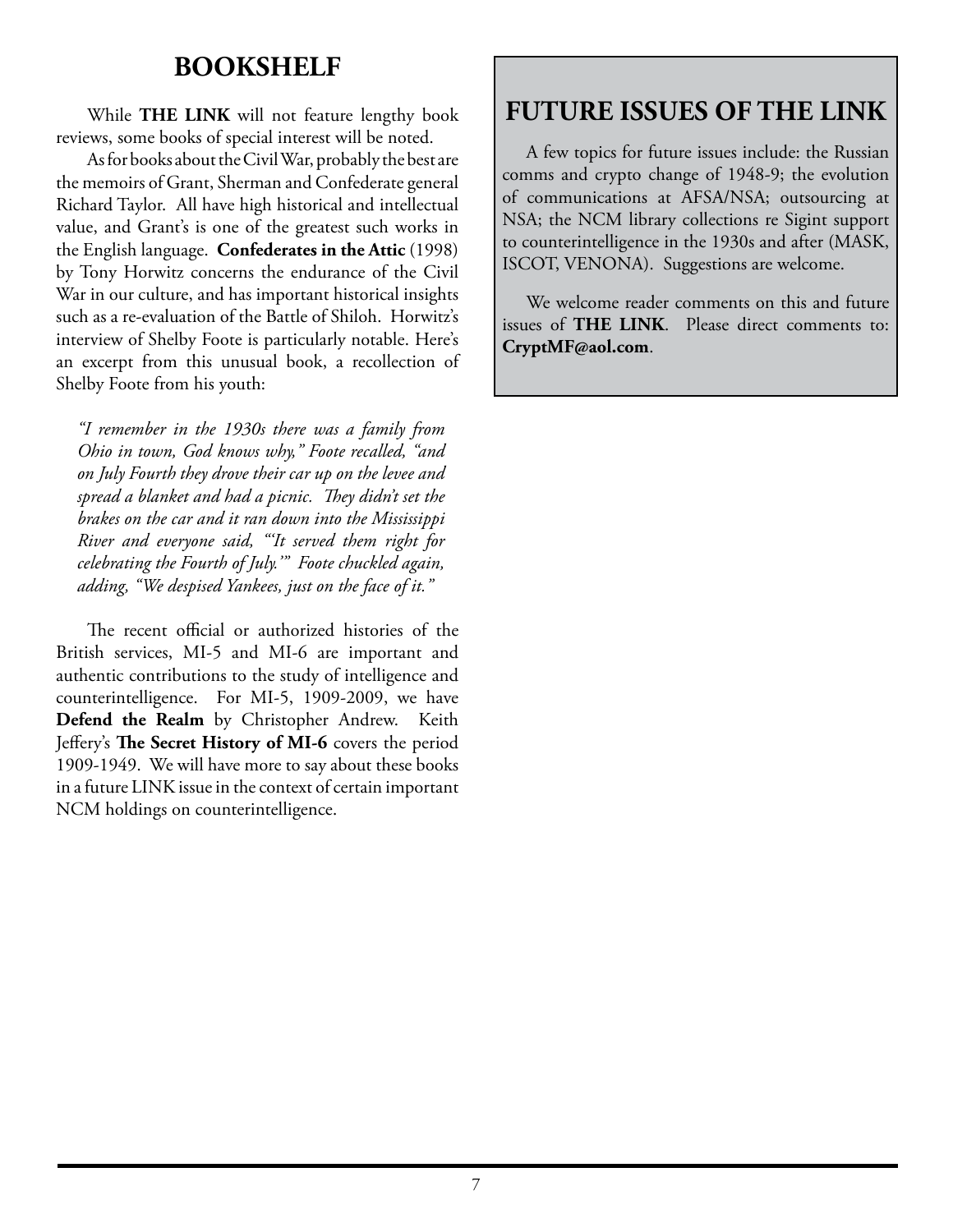## **BOOKSHELF**

While **THE LINK** will not feature lengthy book reviews, some books of special interest will be noted.

As for books about the Civil War, probably the best are the memoirs of Grant, Sherman and Confederate general Richard Taylor. All have high historical and intellectual value, and Grant's is one of the greatest such works in the English language. **Confederates in the Attic** (1998) by Tony Horwitz concerns the endurance of the Civil War in our culture, and has important historical insights such as a re-evaluation of the Battle of Shiloh. Horwitz's interview of Shelby Foote is particularly notable. Here's an excerpt from this unusual book, a recollection of Shelby Foote from his youth:

*"I remember in the 1930s there was a family from Ohio in town, God knows why," Foote recalled, "and on July Fourth they drove their car up on the levee and spread a blanket and had a picnic. They didn't set the brakes on the car and it ran down into the Mississippi River and everyone said, "'It served them right for celebrating the Fourth of July.'" Foote chuckled again, adding, "We despised Yankees, just on the face of it."*

The recent official or authorized histories of the British services, MI-5 and MI-6 are important and authentic contributions to the study of intelligence and counterintelligence. For MI-5, 1909-2009, we have **Defend the Realm** by Christopher Andrew. Keith Jeffery's **The Secret History of MI-6** covers the period 1909-1949. We will have more to say about these books in a future LINK issue in the context of certain important NCM holdings on counterintelligence.

# **FUTURE ISSUES OF THE LINK**

A few topics for future issues include: the Russian comms and crypto change of 1948-9; the evolution of communications at AFSA/NSA; outsourcing at NSA; the NCM library collections re Sigint support to counterintelligence in the 1930s and after (MASK, ISCOT, VENONA). Suggestions are welcome.

We welcome reader comments on this and future issues of **THE LINK**. Please direct comments to: **CryptMF@aol.com**.